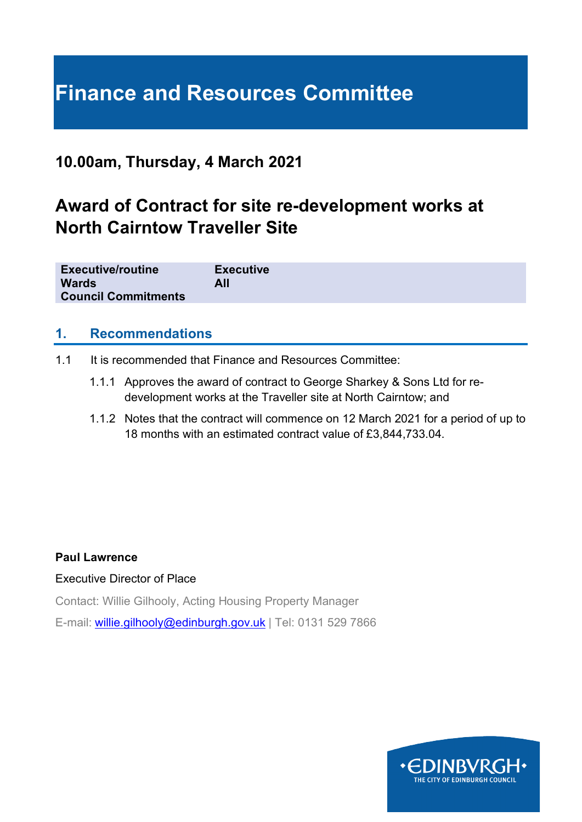# **Finance and Resources Committee**

## **10.00am, Thursday, 4 March 2021**

## **Award of Contract for site re-development works at North Cairntow Traveller Site**

| <b>Executive/routine</b>   | <b>Executive</b> |
|----------------------------|------------------|
| <b>Wards</b>               | All              |
| <b>Council Commitments</b> |                  |

#### **1. Recommendations**

- 1.1 It is recommended that Finance and Resources Committee:
	- 1.1.1 Approves the award of contract to George Sharkey & Sons Ltd for redevelopment works at the Traveller site at North Cairntow; and
	- 1.1.2 Notes that the contract will commence on 12 March 2021 for a period of up to 18 months with an estimated contract value of £3,844,733.04.

#### **Paul Lawrence**

#### Executive Director of Place

Contact: Willie Gilhooly, Acting Housing Property Manager

E-mail: [willie.gilhooly@edinburgh.gov.uk](mailto:willie.gilhooly@edinburgh.gov.uk) | Tel: 0131 529 7866

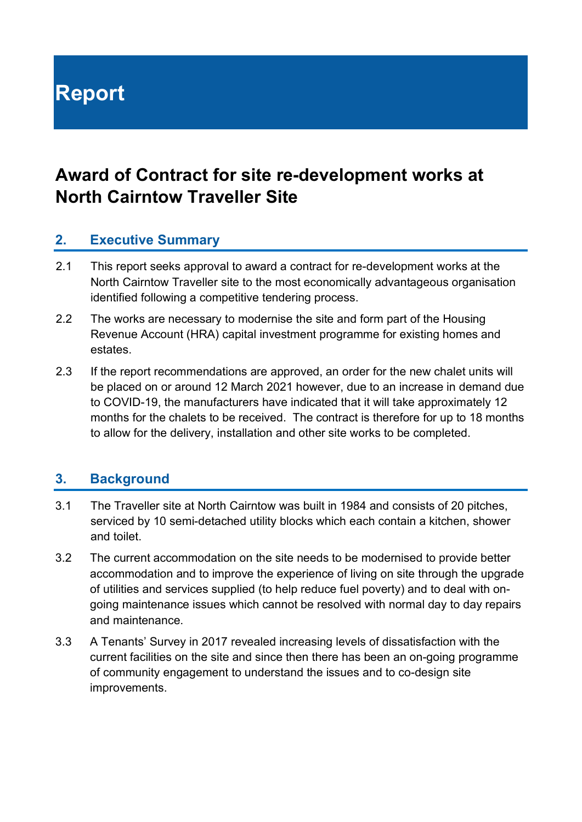**Report**

## **Award of Contract for site re-development works at North Cairntow Traveller Site**

#### **2. Executive Summary**

- 2.1 This report seeks approval to award a contract for re-development works at the North Cairntow Traveller site to the most economically advantageous organisation identified following a competitive tendering process.
- 2.2 The works are necessary to modernise the site and form part of the Housing Revenue Account (HRA) capital investment programme for existing homes and estates.
- 2.3 If the report recommendations are approved, an order for the new chalet units will be placed on or around 12 March 2021 however, due to an increase in demand due to COVID-19, the manufacturers have indicated that it will take approximately 12 months for the chalets to be received. The contract is therefore for up to 18 months to allow for the delivery, installation and other site works to be completed.

### **3. Background**

- 3.1 The Traveller site at North Cairntow was built in 1984 and consists of 20 pitches, serviced by 10 semi-detached utility blocks which each contain a kitchen, shower and toilet.
- 3.2 The current accommodation on the site needs to be modernised to provide better accommodation and to improve the experience of living on site through the upgrade of utilities and services supplied (to help reduce fuel poverty) and to deal with ongoing maintenance issues which cannot be resolved with normal day to day repairs and maintenance.
- 3.3 A Tenants' Survey in 2017 revealed increasing levels of dissatisfaction with the current facilities on the site and since then there has been an on-going programme of community engagement to understand the issues and to co-design site improvements.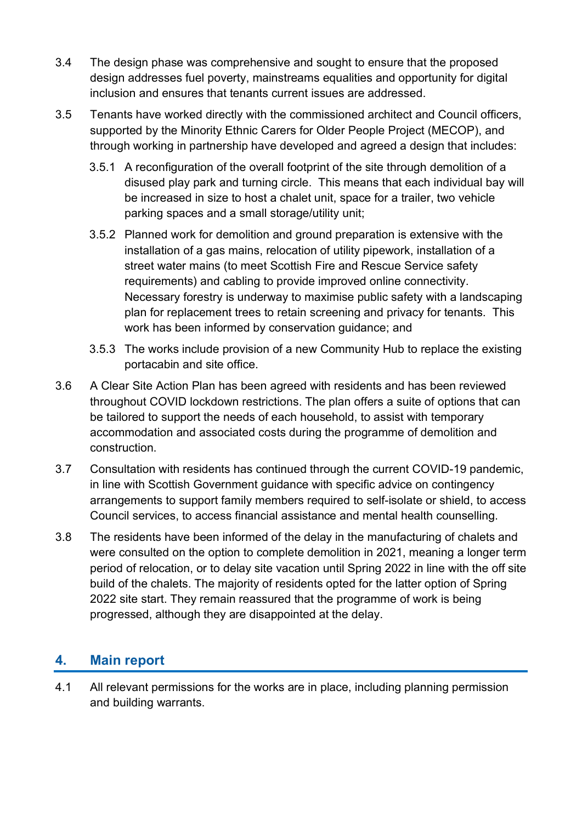- 3.4 The design phase was comprehensive and sought to ensure that the proposed design addresses fuel poverty, mainstreams equalities and opportunity for digital inclusion and ensures that tenants current issues are addressed.
- 3.5 Tenants have worked directly with the commissioned architect and Council officers, supported by the Minority Ethnic Carers for Older People Project (MECOP), and through working in partnership have developed and agreed a design that includes:
	- 3.5.1 A reconfiguration of the overall footprint of the site through demolition of a disused play park and turning circle. This means that each individual bay will be increased in size to host a chalet unit, space for a trailer, two vehicle parking spaces and a small storage/utility unit;
	- 3.5.2 Planned work for demolition and ground preparation is extensive with the installation of a gas mains, relocation of utility pipework, installation of a street water mains (to meet Scottish Fire and Rescue Service safety requirements) and cabling to provide improved online connectivity. Necessary forestry is underway to maximise public safety with a landscaping plan for replacement trees to retain screening and privacy for tenants. This work has been informed by conservation guidance; and
	- 3.5.3 The works include provision of a new Community Hub to replace the existing portacabin and site office.
- 3.6 A Clear Site Action Plan has been agreed with residents and has been reviewed throughout COVID lockdown restrictions. The plan offers a suite of options that can be tailored to support the needs of each household, to assist with temporary accommodation and associated costs during the programme of demolition and construction.
- 3.7 Consultation with residents has continued through the current COVID-19 pandemic, in line with Scottish Government guidance with specific advice on contingency arrangements to support family members required to self-isolate or shield, to access Council services, to access financial assistance and mental health counselling.
- 3.8 The residents have been informed of the delay in the manufacturing of chalets and were consulted on the option to complete demolition in 2021, meaning a longer term period of relocation, or to delay site vacation until Spring 2022 in line with the off site build of the chalets. The majority of residents opted for the latter option of Spring 2022 site start. They remain reassured that the programme of work is being progressed, although they are disappointed at the delay.

## **4. Main report**

4.1 All relevant permissions for the works are in place, including planning permission and building warrants.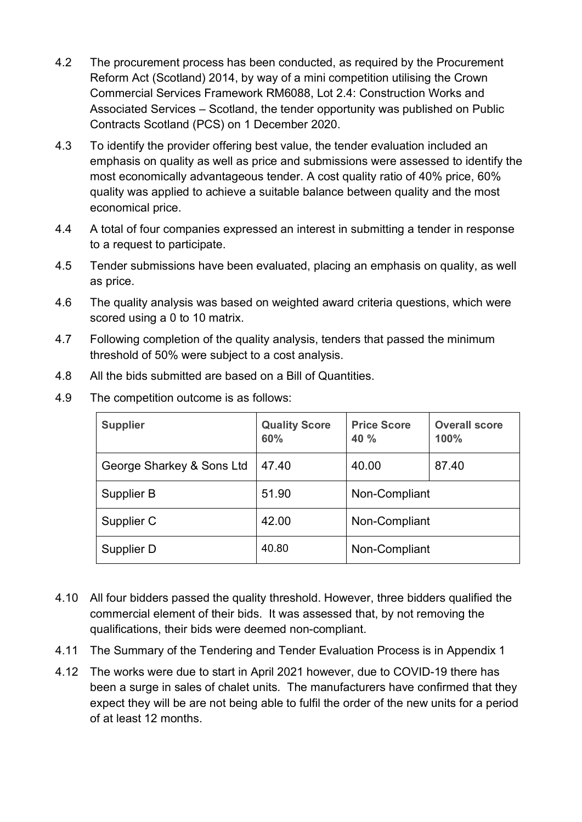- 4.2 The procurement process has been conducted, as required by the Procurement Reform Act (Scotland) 2014, by way of a mini competition utilising the Crown Commercial Services Framework RM6088, Lot 2.4: Construction Works and Associated Services – Scotland, the tender opportunity was published on Public Contracts Scotland (PCS) on 1 December 2020.
- 4.3 To identify the provider offering best value, the tender evaluation included an emphasis on quality as well as price and submissions were assessed to identify the most economically advantageous tender. A cost quality ratio of 40% price, 60% quality was applied to achieve a suitable balance between quality and the most economical price.
- 4.4 A total of four companies expressed an interest in submitting a tender in response to a request to participate.
- 4.5 Tender submissions have been evaluated, placing an emphasis on quality, as well as price.
- 4.6 The quality analysis was based on weighted award criteria questions, which were scored using a 0 to 10 matrix.
- 4.7 Following completion of the quality analysis, tenders that passed the minimum threshold of 50% were subject to a cost analysis.
- 4.8 All the bids submitted are based on a Bill of Quantities.

| 4.9 | The competition outcome is as follows: |  |  |  |  |
|-----|----------------------------------------|--|--|--|--|
|-----|----------------------------------------|--|--|--|--|

| <b>Supplier</b>           | <b>Quality Score</b><br>60% | <b>Price Score</b><br>40 % | <b>Overall score</b><br>100% |
|---------------------------|-----------------------------|----------------------------|------------------------------|
| George Sharkey & Sons Ltd | 47.40                       | 40.00                      | 87.40                        |
| Supplier B                | 51.90                       | Non-Compliant              |                              |
| Supplier C                | 42.00                       | Non-Compliant              |                              |
| Supplier D                | 40.80                       | Non-Compliant              |                              |

- 4.10 All four bidders passed the quality threshold. However, three bidders qualified the commercial element of their bids. It was assessed that, by not removing the qualifications, their bids were deemed non-compliant.
- 4.11 The Summary of the Tendering and Tender Evaluation Process is in Appendix 1
- 4.12 The works were due to start in April 2021 however, due to COVID-19 there has been a surge in sales of chalet units. The manufacturers have confirmed that they expect they will be are not being able to fulfil the order of the new units for a period of at least 12 months.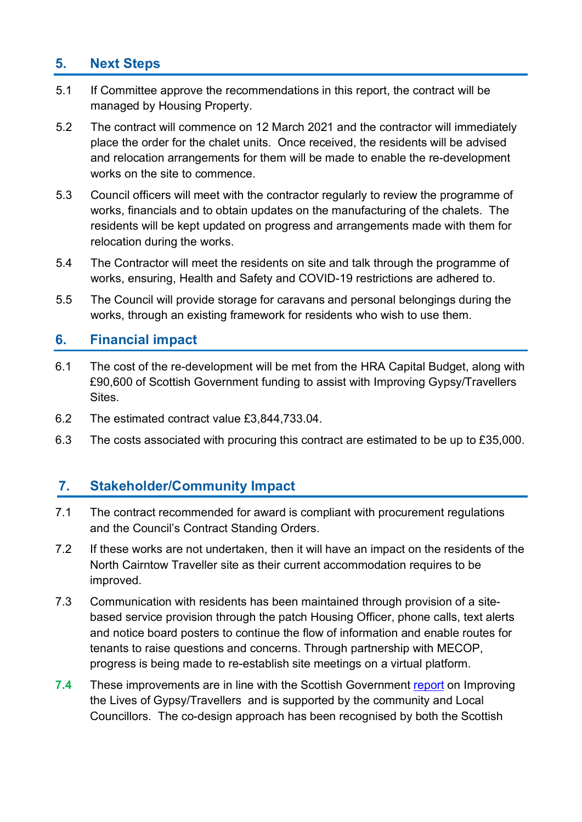## **5. Next Steps**

- 5.1 If Committee approve the recommendations in this report, the contract will be managed by Housing Property.
- 5.2 The contract will commence on 12 March 2021 and the contractor will immediately place the order for the chalet units. Once received, the residents will be advised and relocation arrangements for them will be made to enable the re-development works on the site to commence.
- 5.3 Council officers will meet with the contractor regularly to review the programme of works, financials and to obtain updates on the manufacturing of the chalets. The residents will be kept updated on progress and arrangements made with them for relocation during the works.
- 5.4 The Contractor will meet the residents on site and talk through the programme of works, ensuring, Health and Safety and COVID-19 restrictions are adhered to.
- 5.5 The Council will provide storage for caravans and personal belongings during the works, through an existing framework for residents who wish to use them.

#### **6. Financial impact**

- 6.1 The cost of the re-development will be met from the HRA Capital Budget, along with £90,600 of Scottish Government funding to assist with Improving Gypsy/Travellers Sites.
- 6.2 The estimated contract value £3,844,733.04.
- 6.3 The costs associated with procuring this contract are estimated to be up to £35,000.

### **7. Stakeholder/Community Impact**

- 7.1 The contract recommended for award is compliant with procurement regulations and the Council's Contract Standing Orders.
- 7.2 If these works are not undertaken, then it will have an impact on the residents of the North Cairntow Traveller site as their current accommodation requires to be improved.
- 7.3 Communication with residents has been maintained through provision of a sitebased service provision through the patch Housing Officer, phone calls, text alerts and notice board posters to continue the flow of information and enable routes for tenants to raise questions and concerns. Through partnership with MECOP, progress is being made to re-establish site meetings on a virtual platform.
- **7.4** These improvements are in line with the Scottish Government [report](https://www.gov.scot/publications/improving-gypsy-traveller-sites-guidance-minimum-sites-standards-site-tenants/) on Improving the Lives of Gypsy/Travellers and is supported by the community and Local Councillors. The co-design approach has been recognised by both the Scottish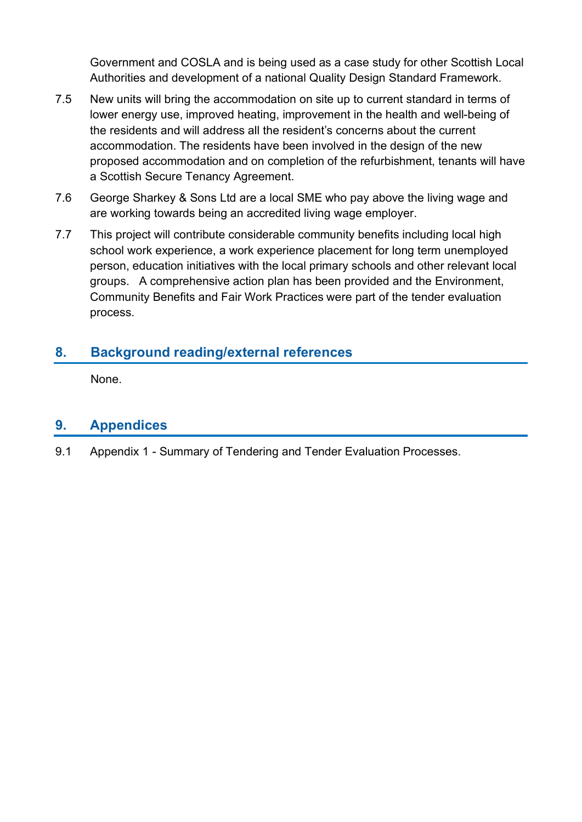Government and COSLA and is being used as a case study for other Scottish Local Authorities and development of a national Quality Design Standard Framework.

- 7.5 New units will bring the accommodation on site up to current standard in terms of lower energy use, improved heating, improvement in the health and well-being of the residents and will address all the resident's concerns about the current accommodation. The residents have been involved in the design of the new proposed accommodation and on completion of the refurbishment, tenants will have a Scottish Secure Tenancy Agreement.
- 7.6 George Sharkey & Sons Ltd are a local SME who pay above the living wage and are working towards being an accredited living wage employer.
- 7.7 This project will contribute considerable community benefits including local high school work experience, a work experience placement for long term unemployed person, education initiatives with the local primary schools and other relevant local groups. A comprehensive action plan has been provided and the Environment, Community Benefits and Fair Work Practices were part of the tender evaluation process.

## **8. Background reading/external references**

None.

### **9. Appendices**

9.1 Appendix 1 - Summary of Tendering and Tender Evaluation Processes.